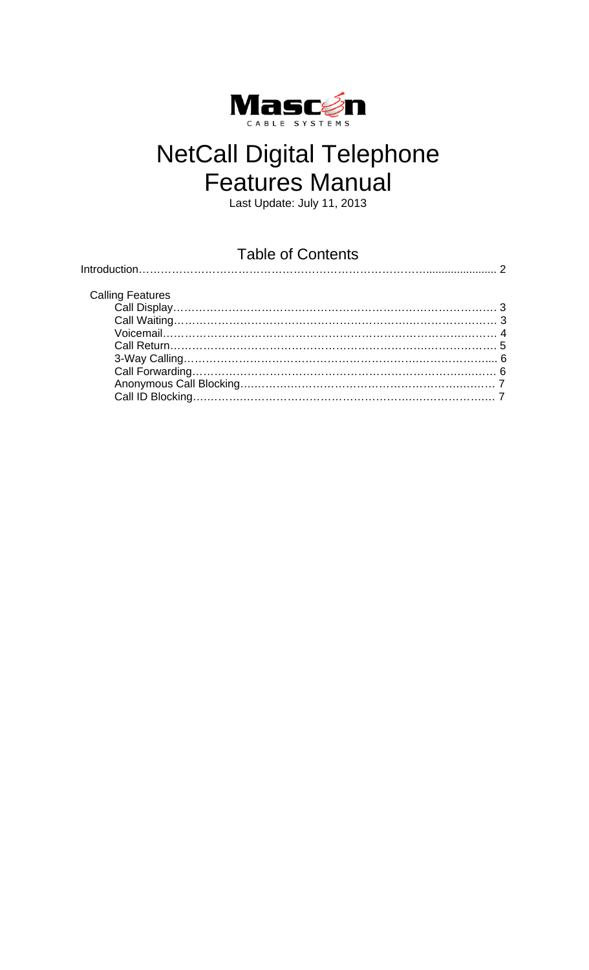

# NetCall Digital Telephone Features Manual

Last Update: July 11, 2013

### Table of Contents

| Tabic OF OUTIGHTS       |  |
|-------------------------|--|
|                         |  |
|                         |  |
| <b>Calling Features</b> |  |
|                         |  |
|                         |  |
|                         |  |
|                         |  |
|                         |  |
|                         |  |
|                         |  |
|                         |  |
|                         |  |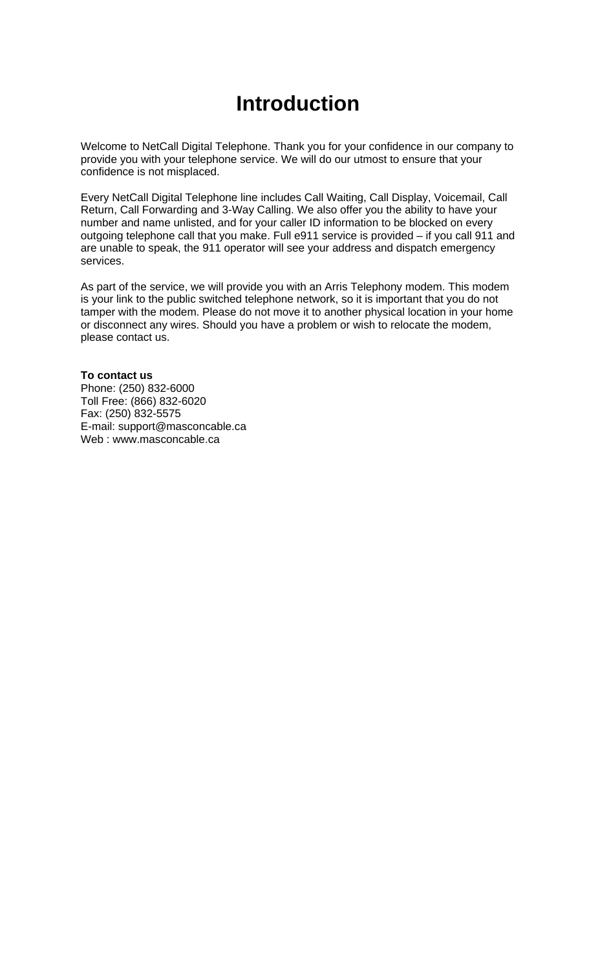### **Introduction**

Welcome to NetCall Digital Telephone. Thank you for your confidence in our company to provide you with your telephone service. We will do our utmost to ensure that your confidence is not misplaced.

Every NetCall Digital Telephone line includes Call Waiting, Call Display, Voicemail, Call Return, Call Forwarding and 3-Way Calling. We also offer you the ability to have your number and name unlisted, and for your caller ID information to be blocked on every outgoing telephone call that you make. Full e911 service is provided – if you call 911 and are unable to speak, the 911 operator will see your address and dispatch emergency services.

As part of the service, we will provide you with an Arris Telephony modem. This modem is your link to the public switched telephone network, so it is important that you do not tamper with the modem. Please do not move it to another physical location in your home or disconnect any wires. Should you have a problem or wish to relocate the modem, please contact us.

#### **To contact us**

Phone: (250) 832-6000 Toll Free: (866) 832-6020 Fax: (250) 832-5575 E-mail: support@masconcable.ca Web : www.masconcable.ca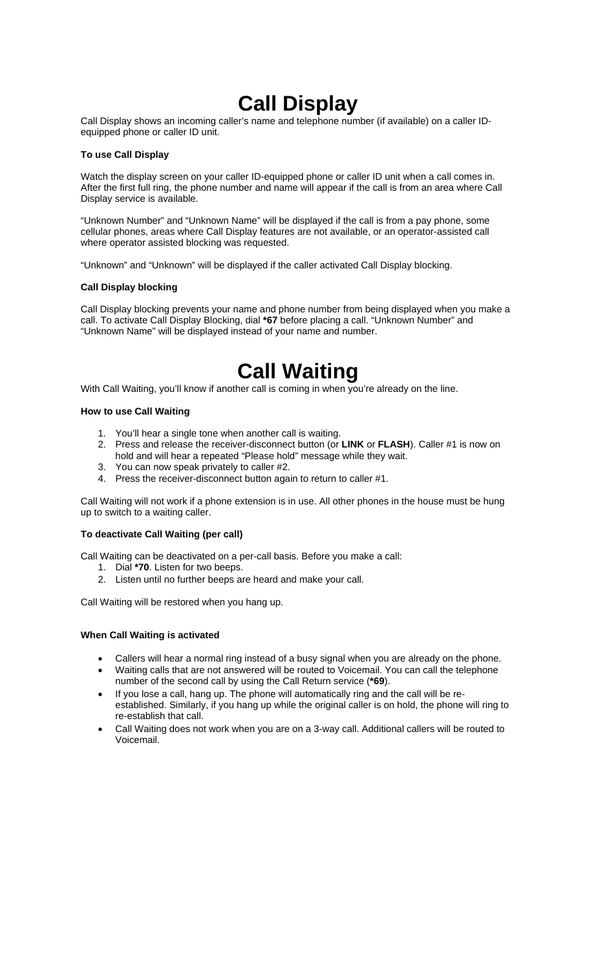### **Call Display**

Call Display shows an incoming caller's name and telephone number (if available) on a caller IDequipped phone or caller ID unit.

#### **To use Call Display**

Watch the display screen on your caller ID-equipped phone or caller ID unit when a call comes in. After the first full ring, the phone number and name will appear if the call is from an area where Call Display service is available.

"Unknown Number" and "Unknown Name" will be displayed if the call is from a pay phone, some cellular phones, areas where Call Display features are not available, or an operator-assisted call where operator assisted blocking was requested.

"Unknown" and "Unknown" will be displayed if the caller activated Call Display blocking.

#### **Call Display blocking**

Call Display blocking prevents your name and phone number from being displayed when you make a call. To activate Call Display Blocking, dial **\*67** before placing a call. "Unknown Number" and "Unknown Name" will be displayed instead of your name and number.

### **Call Waiting**

With Call Waiting, you'll know if another call is coming in when you're already on the line.

#### **How to use Call Waiting**

- 1. You'll hear a single tone when another call is waiting.
- 2. Press and release the receiver-disconnect button (or **LINK** or **FLASH**). Caller #1 is now on hold and will hear a repeated "Please hold" message while they wait.
- 3. You can now speak privately to caller #2.
- 4. Press the receiver-disconnect button again to return to caller #1.

Call Waiting will not work if a phone extension is in use. All other phones in the house must be hung up to switch to a waiting caller.

#### **To deactivate Call Waiting (per call)**

Call Waiting can be deactivated on a per-call basis. Before you make a call:

- 1. Dial **\*70**. Listen for two beeps.
- 2. Listen until no further beeps are heard and make your call.

Call Waiting will be restored when you hang up.

#### **When Call Waiting is activated**

- Callers will hear a normal ring instead of a busy signal when you are already on the phone.
- Waiting calls that are not answered will be routed to Voicemail. You can call the telephone number of the second call by using the Call Return service (**\*69**).
- If you lose a call, hang up. The phone will automatically ring and the call will be reestablished. Similarly, if you hang up while the original caller is on hold, the phone will ring to re-establish that call.
- Call Waiting does not work when you are on a 3-way call. Additional callers will be routed to Voicemail.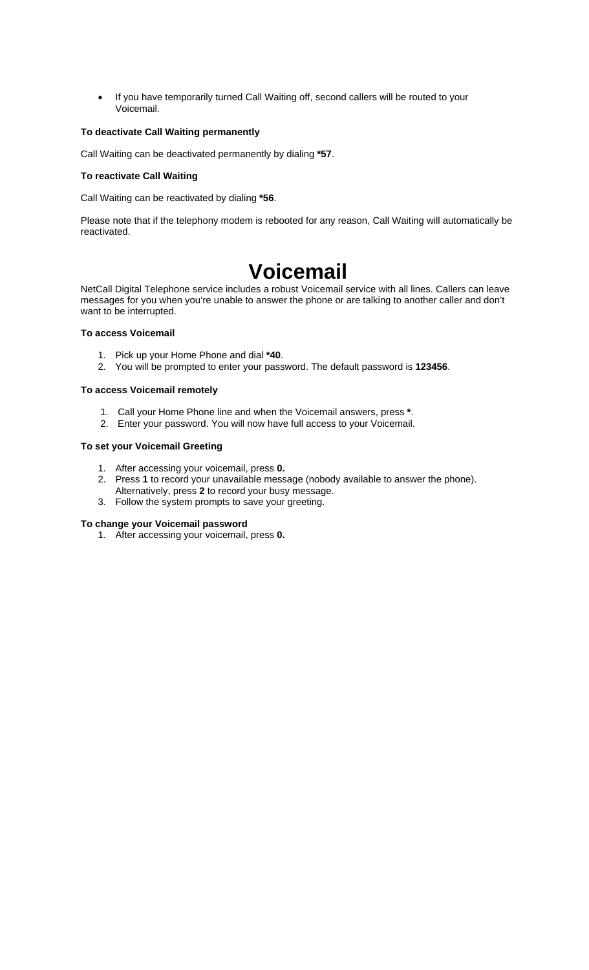• If you have temporarily turned Call Waiting off, second callers will be routed to your Voicemail.

#### **To deactivate Call Waiting permanently**

Call Waiting can be deactivated permanently by dialing **\*57**.

#### **To reactivate Call Waiting**

Call Waiting can be reactivated by dialing **\*56**.

Please note that if the telephony modem is rebooted for any reason, Call Waiting will automatically be reactivated.

### **Voicemail**

NetCall Digital Telephone service includes a robust Voicemail service with all lines. Callers can leave messages for you when you're unable to answer the phone or are talking to another caller and don't want to be interrupted.

#### **To access Voicemail**

- 1. Pick up your Home Phone and dial **\*40**.
- 2. You will be prompted to enter your password. The default password is **123456**.

#### **To access Voicemail remotely**

- 1. Call your Home Phone line and when the Voicemail answers, press **\***.
- 2. Enter your password. You will now have full access to your Voicemail.

#### **To set your Voicemail Greeting**

- 1. After accessing your voicemail, press **0.**
- 2. Press **1** to record your unavailable message (nobody available to answer the phone).
- Alternatively, press **2** to record your busy message.
- 3. Follow the system prompts to save your greeting.

#### **To change your Voicemail password**

1. After accessing your voicemail, press **0.**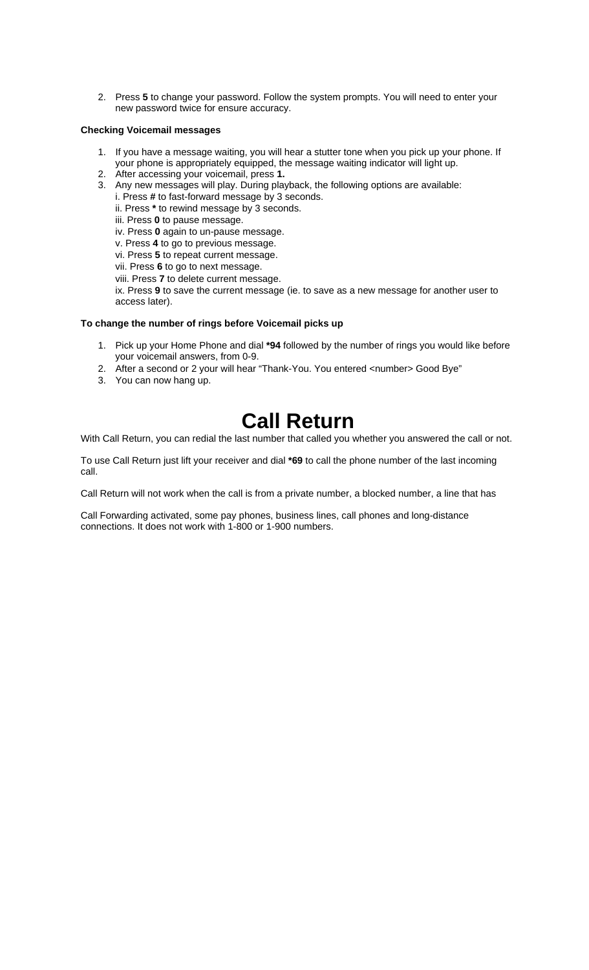2. Press **5** to change your password. Follow the system prompts. You will need to enter your new password twice for ensure accuracy.

#### **Checking Voicemail messages**

- 1. If you have a message waiting, you will hear a stutter tone when you pick up your phone. If your phone is appropriately equipped, the message waiting indicator will light up.
- 2. After accessing your voicemail, press **1.**
- 3. Any new messages will play. During playback, the following options are available:
	- i. Press **#** to fast-forward message by 3 seconds.
	- ii. Press **\*** to rewind message by 3 seconds.
	- iii. Press **0** to pause message.
	- iv. Press **0** again to un-pause message.
	- v. Press **4** to go to previous message.
	- vi. Press **5** to repeat current message.
	- vii. Press **6** to go to next message.
	- viii. Press **7** to delete current message.

ix. Press **9** to save the current message (ie. to save as a new message for another user to access later).

#### **To change the number of rings before Voicemail picks up**

- 1. Pick up your Home Phone and dial **\*94** followed by the number of rings you would like before your voicemail answers, from 0-9.
- 2. After a second or 2 your will hear "Thank-You. You entered <number> Good Bye"
- 3. You can now hang up.

### **Call Return**

With Call Return, you can redial the last number that called you whether you answered the call or not.

To use Call Return just lift your receiver and dial **\*69** to call the phone number of the last incoming call.

Call Return will not work when the call is from a private number, a blocked number, a line that has

Call Forwarding activated, some pay phones, business lines, call phones and long-distance connections. It does not work with 1-800 or 1-900 numbers.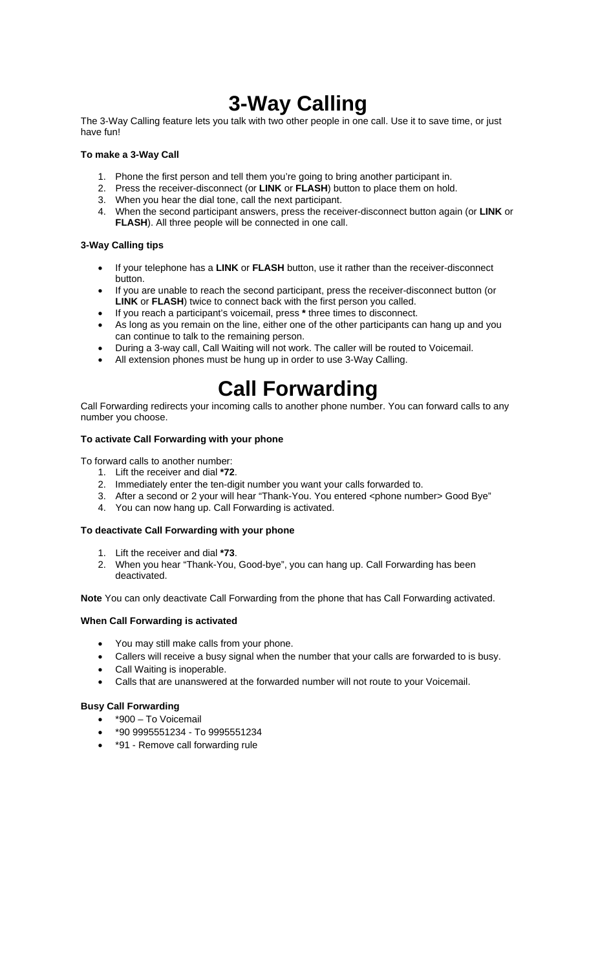### **3-Way Calling**

The 3-Way Calling feature lets you talk with two other people in one call. Use it to save time, or just have fun!

#### **To make a 3-Way Call**

- 1. Phone the first person and tell them you're going to bring another participant in.
- 2. Press the receiver-disconnect (or **LINK** or **FLASH**) button to place them on hold.
- 3. When you hear the dial tone, call the next participant.
- 4. When the second participant answers, press the receiver-disconnect button again (or **LINK** or **FLASH**). All three people will be connected in one call.

#### **3-Way Calling tips**

- If your telephone has a **LINK** or **FLASH** button, use it rather than the receiver-disconnect button.
- If you are unable to reach the second participant, press the receiver-disconnect button (or **LINK** or **FLASH**) twice to connect back with the first person you called.
- If you reach a participant's voicemail, press **\*** three times to disconnect.
- As long as you remain on the line, either one of the other participants can hang up and you can continue to talk to the remaining person.
- During a 3-way call, Call Waiting will not work. The caller will be routed to Voicemail.
- All extension phones must be hung up in order to use 3-Way Calling.

## **Call Forwarding**

Call Forwarding redirects your incoming calls to another phone number. You can forward calls to any number you choose.

#### **To activate Call Forwarding with your phone**

To forward calls to another number:

- 1. Lift the receiver and dial **\*72**.
- 2. Immediately enter the ten-digit number you want your calls forwarded to.
- 3. After a second or 2 your will hear "Thank-You. You entered <phone number> Good Bye"
- 4. You can now hang up. Call Forwarding is activated.

#### **To deactivate Call Forwarding with your phone**

- 1. Lift the receiver and dial **\*73**.
- 2. When you hear "Thank-You, Good-bye", you can hang up. Call Forwarding has been deactivated.

**Note** You can only deactivate Call Forwarding from the phone that has Call Forwarding activated.

#### **When Call Forwarding is activated**

- You may still make calls from your phone.
- Callers will receive a busy signal when the number that your calls are forwarded to is busy.
- Call Waiting is inoperable.
- Calls that are unanswered at the forwarded number will not route to your Voicemail.

#### **Busy Call Forwarding**

- \*900 To Voicemail
- \*90 9995551234 To 9995551234
- \*91 Remove call forwarding rule